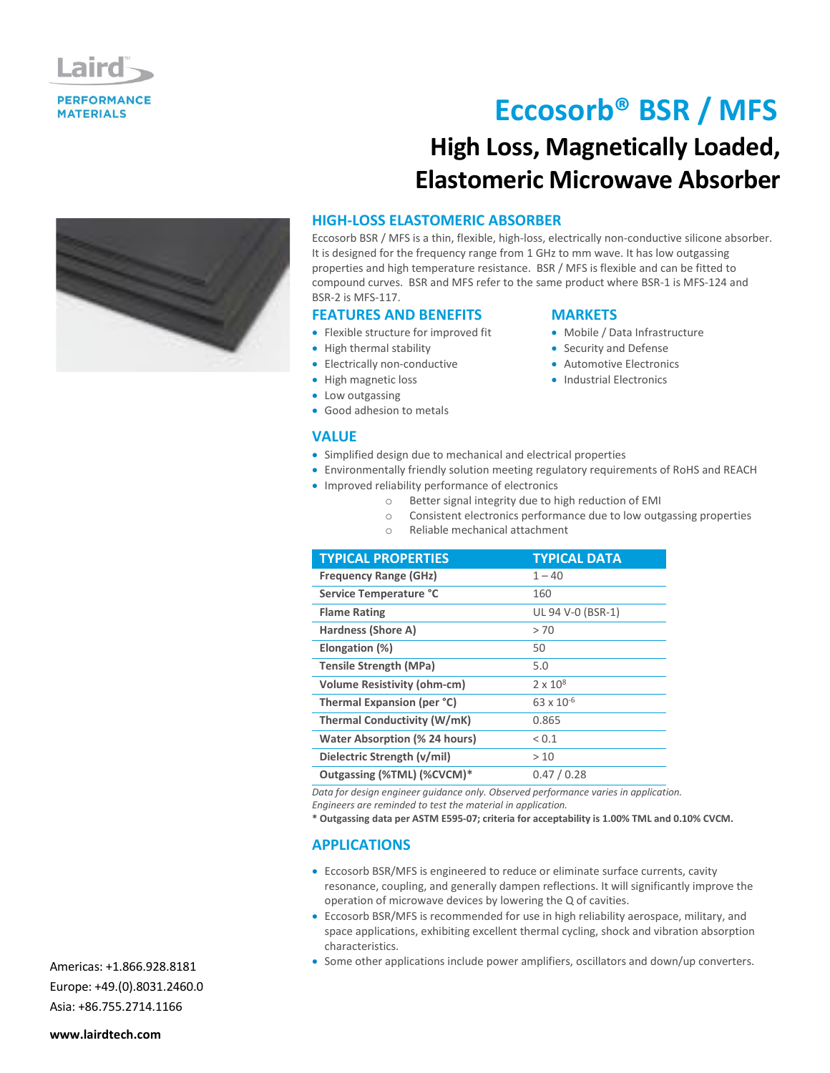

# **Eccosorb® BSR / MFS High Loss, Magnetically Loaded, Elastomeric Microwave Absorber**



Eccosorb BSR / MFS is a thin, flexible, high-loss, electrically non-conductive silicone absorber. It is designed for the frequency range from 1 GHz to mm wave. It has low outgassing properties and high temperature resistance. BSR / MFS is flexible and can be fitted to compound curves. BSR and MFS refer to the same product where BSR-1 is MFS-124 and BSR-2 is MFS-117.

**MARKETS**

 Mobile / Data Infrastructure • Security and Defense Automotive Electronics • Industrial Electronics

### **FEATURES AND BENEFITS**

- Flexible structure for improved fit
- High thermal stability
- Electrically non-conductive
- High magnetic loss
- Low outgassing
- Good adhesion to metals

### **VALUE**

- Simplified design due to mechanical and electrical properties
- Environmentally friendly solution meeting regulatory requirements of RoHS and REACH
- Improved reliability performance of electronics
	- o Better signal integrity due to high reduction of EMI
	- o Consistent electronics performance due to low outgassing properties
	- o Reliable mechanical attachment

| <b>TYPICAL PROPERTIES</b>            | <b>TYPICAL DATA</b> |
|--------------------------------------|---------------------|
| <b>Frequency Range (GHz)</b>         | $1 - 40$            |
| Service Temperature °C               | 160                 |
| <b>Flame Rating</b>                  | UL 94 V-0 (BSR-1)   |
| Hardness (Shore A)                   | > 70                |
| Elongation (%)                       | 50                  |
| <b>Tensile Strength (MPa)</b>        | 5.0                 |
| <b>Volume Resistivity (ohm-cm)</b>   | $2 \times 10^8$     |
| Thermal Expansion (per °C)           | $63 \times 10^{-6}$ |
| Thermal Conductivity (W/mK)          | 0.865               |
| <b>Water Absorption (% 24 hours)</b> | ${}_{0.1}$          |
| Dielectric Strength (v/mil)          | >10                 |
| Outgassing (%TML) (%CVCM)*           | 0.47/0.28           |

*Data for design engineer guidance only. Observed performance varies in application.*

*Engineers are reminded to test the material in application.*

**\* Outgassing data per ASTM E595-07; criteria for acceptability is 1.00% TML and 0.10% CVCM.**

### **APPLICATIONS**

- Eccosorb BSR/MFS is engineered to reduce or eliminate surface currents, cavity resonance, coupling, and generally dampen reflections. It will significantly improve the operation of microwave devices by lowering the Q of cavities.
- Eccosorb BSR/MFS is recommended for use in high reliability aerospace, military, and space applications, exhibiting excellent thermal cycling, shock and vibration absorption characteristics.
- Some other applications include power amplifiers, oscillators and down/up converters.

Americas: +1.866.928.8181 Europe: +49.(0).8031.2460.0 Asia: +86.755.2714.1166